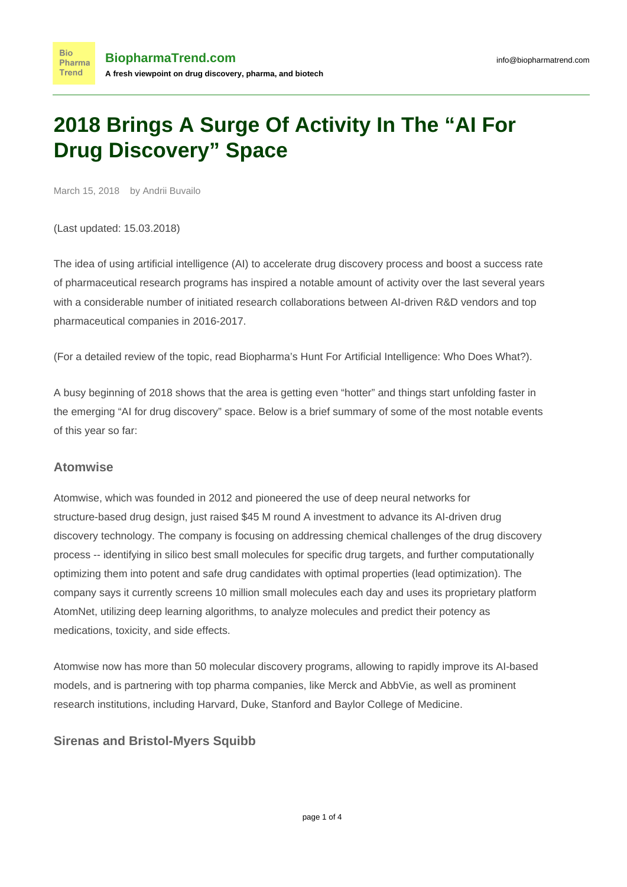# **2018 Brings A Surge Of Activity In The "AI For Drug Discovery" Space**

March 15, 2018 by Andrii Buvailo

(Last updated: 15.03.2018)

The idea of using artificial intelligence (AI) to accelerate drug discovery process and boost a success rate of pharmaceutical research programs has inspired a notable amount of activity over the last several years with a considerable number of initiated research collaborations between AI-driven R&D vendors and top pharmaceutical companies in 2016-2017.

(For a detailed review of the topic, read [Biopharma's Hunt For Artificial Intelligence: Who Does What?\)](https://www.biopharmatrend.com/post/34-biopharmas-hunt-for-artificial-intelligence-who-does-what/).

A busy beginning of 2018 shows that the area is getting even "hotter" and things start unfolding faster in the emerging "AI for drug discovery" space. Below is a brief summary of some of the most notable events of this year so far:

#### **Atomwise**

[Atomwise](https://www.biopharmatrend.com/m/company/atomwise/), which was founded in 2012 and pioneered the use of deep neural networks for structure-based drug design, just [raised \\$45 M](https://techcrunch.com/2018/03/07/atomwise-which-uses-ai-to-improve-drug-discovery-raises-45m-series-a/) round A investment to advance its AI-driven drug discovery technology. The company is focusing on addressing chemical challenges of the drug discovery process -- identifying in silico best small molecules for specific drug targets, and further computationally optimizing them into potent and safe drug candidates with optimal properties (lead optimization). The company says it currently screens 10 million small molecules each day and uses its proprietary platform AtomNet, utilizing deep learning algorithms, to analyze molecules and predict their potency as medications, toxicity, and side effects.

Atomwise now has more than 50 molecular discovery programs, allowing to rapidly improve its AI-based models, and is partnering with top pharma companies, like Merck and AbbVie, as well as prominent research institutions, including Harvard, Duke, Stanford and Baylor College of Medicine.

## **Sirenas and Bristol-Myers Squibb**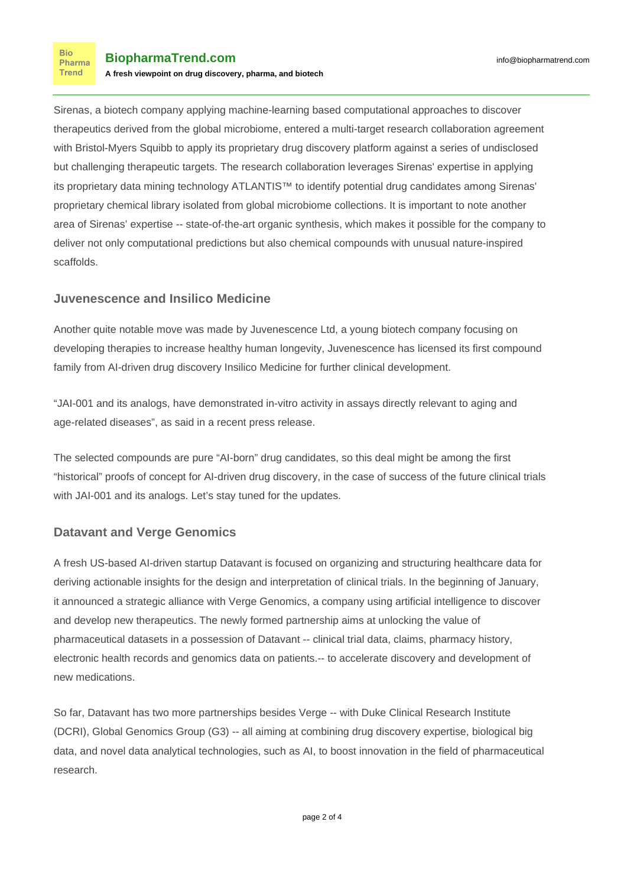[Sirenas,](https://www.biopharmatrend.com/m/company/sirenas/) a biotech company applying machine-learning based computational approaches to discover therapeutics derived from the global microbiome, entered a [multi-target research collaboration](http://markets.businessinsider.com/news/stocks/sirenas-enters-into-multi-target-collaboration-with-bristol-myers-squibb-1015510838) agreement with Bristol-Myers Squibb to apply its proprietary drug discovery platform against a series of undisclosed but challenging therapeutic targets. The research collaboration leverages Sirenas' expertise in applying its proprietary data mining technology ATLANTIS™ to identify potential drug candidates among Sirenas' proprietary chemical library isolated from global microbiome collections. It is important to note another area of Sirenas' expertise -- state-of-the-art organic synthesis, which makes it possible for the company to deliver not only computational predictions but also chemical compounds with unusual nature-inspired scaffolds.

## **Juvenescence and Insilico Medicine**

Another quite notable move was made by Juvenescence Ltd, a young biotech company focusing on developing therapies to increase healthy human longevity, Juvenescence has licensed its first compound family from AI-driven drug discovery [Insilico Medicine](https://www.biopharmatrend.com/m/company/insilico-medicine/) for further clinical development.

"JAI-001 and its analogs, have demonstrated in-vitro activity in assays directly relevant to aging and age-related diseases", as said in a recent [press release.](https://www.businesswire.com/news/home/20180205005024/en/Insilico-Medicine-Juvenescence-Announce-Drug-Candidate-Joint)

The selected compounds are pure "AI-born" drug candidates, so this deal might be among the first "historical" proofs of concept for AI-driven drug discovery, in the case of success of the future clinical trials with JAI-001 and its analogs. Let's stay tuned for the updates.

# **Datavant and Verge Genomics**

A fresh US-based AI-driven startup Datavant is focused on organizing and structuring healthcare data for deriving actionable insights for the design and interpretation of clinical trials. In the beginning of January, it [announced a strategic alliance](https://www.prnewswire.com/news-releases/datavant-and-verge-genomics-forge-strategic-alliance-to-accelerate-drug-development-300578020.html) with [Verge Genomics,](https://www.biopharmatrend.com/m/company/verge-genomics/) a company using artificial intelligence to discover and develop new therapeutics. The newly formed partnership aims at unlocking the value of pharmaceutical datasets in a possession of Datavant -- clinical trial data, claims, pharmacy history, electronic health records and genomics data on patients.-- to accelerate discovery and development of new medications.

So far, Datavant has [two more partnerships](https://www.fiercebiotech.com/cro/datavant-integrates-150-datasets-teams-duke-g3-verge-genomics) besides Verge -- with Duke Clinical Research Institute (DCRI), Global Genomics Group (G3) -- all aiming at combining drug discovery expertise, biological big data, and novel data analytical technologies, such as AI, to boost innovation in the field of pharmaceutical research.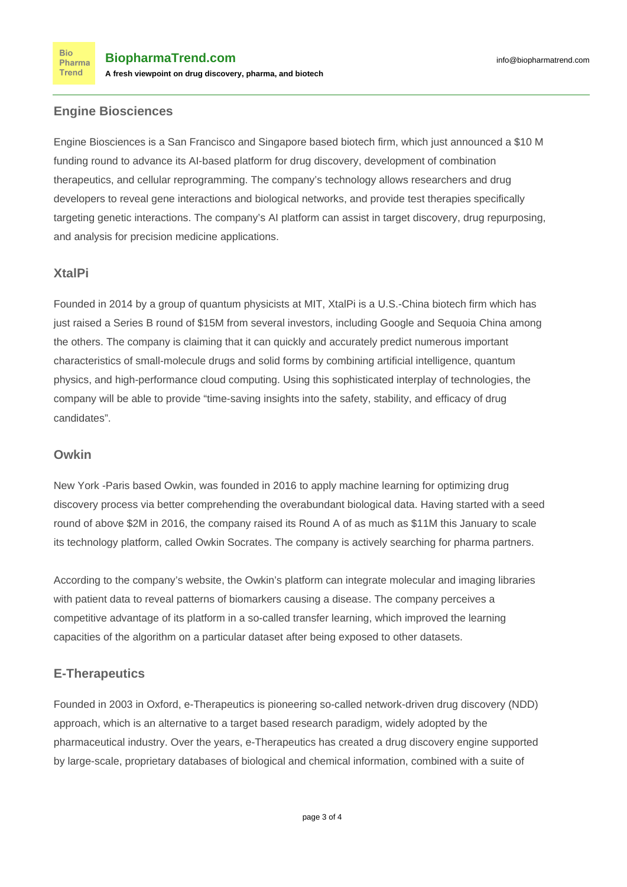#### **Engine Biosciences**

Engine Biosciences is a San Francisco and Singapore based biotech firm, which just [announced a \\$10 M](https://www.prnewswire.com/news-releases/engine-biosciences-raises-10-million-in-seed-financing-to-accelerate-drug-discovery-using-genomics-and-artificial-intelligence-300590877.html) [funding round](https://www.prnewswire.com/news-releases/engine-biosciences-raises-10-million-in-seed-financing-to-accelerate-drug-discovery-using-genomics-and-artificial-intelligence-300590877.html) to advance its AI-based platform for drug discovery, development of combination therapeutics, and cellular reprogramming. The company's technology allows researchers and drug developers to reveal gene interactions and biological networks, and provide test therapies specifically targeting genetic interactions. The company's AI platform can assist in target discovery, drug repurposing, and analysis for precision medicine applications.

## **XtalPi**

Founded in 2014 by a group of quantum physicists at MIT, XtalPi is a U.S.-China biotech firm which has [just raised a Series B round of \\$15M](https://www.outsourcing-pharma.com/Article/2018/01/25/XtalPi-secures-15m-to-boost-AI-drug-development-and-design-offering) from several investors, including Google and Sequoia China among the others. The company is claiming that it can quickly and accurately predict numerous important characteristics of small-molecule drugs and solid forms by combining artificial intelligence, quantum physics, and high-performance cloud computing. Using this sophisticated interplay of technologies, the company will be able to provide "time-saving insights into the safety, stability, and efficacy of drug candidates".

#### **Owkin**

New York -Paris based Owkin, was founded in 2016 to apply machine learning for optimizing drug discovery process via better comprehending the overabundant biological data. Having started with a seed round of above \$2M in 2016, the compan[y raised its Round A of as much as \\$11M this January](https://labiotech.eu/owkin-artificial-intelligence-drug/) to scale its technology platform, called Owkin Socrates. The company is actively searching for pharma partners.

According to the company's website, the Owkin's platform can integrate molecular and imaging libraries with patient data to reveal patterns of biomarkers causing a disease. The company perceives a competitive advantage of its platform in a so-called transfer learning, which improved the learning capacities of the algorithm on a particular dataset after being exposed to other datasets.

## **E-Therapeutics**

Founded in 2003 in Oxford, e-Therapeutics is pioneering so-called network-driven drug discovery (NDD) approach, which is an alternative to a target based research paradigm, widely adopted by the pharmaceutical industry. Over the years, e-Therapeutics has created a drug discovery engine supported by large-scale, proprietary databases of biological and chemical information, combined with a suite of